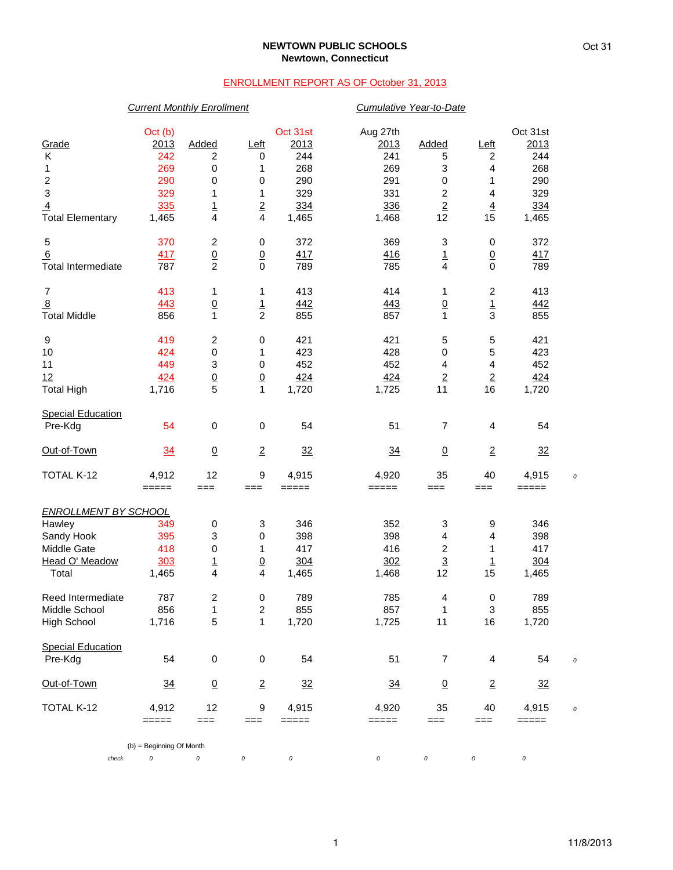## **NEWTOWN PUBLIC SCHOOLS Newtown, Connecticut**

## ENROLLMENT REPORT AS OF October 31, 2013

|                             | <b>Current Monthly Enrollment</b>    |                           |                 |          | Cumulative Year-to-Date |                         |                           |                |  |
|-----------------------------|--------------------------------------|---------------------------|-----------------|----------|-------------------------|-------------------------|---------------------------|----------------|--|
|                             | Oct (b)                              |                           |                 | Oct 31st | Aug 27th                |                         |                           | Oct 31st       |  |
| Grade                       | 2013                                 | Added                     | <u>Left</u>     | 2013     | 2013                    | Added                   | <u>Left</u>               | 2013           |  |
| К                           | 242                                  | $\overline{\mathbf{c}}$   | 0               | 244      | 241                     | 5                       | 2                         | 244            |  |
| 1                           | 269                                  | 0                         | 1               | 268      | 269                     | 3                       | 4                         | 268            |  |
| $\overline{c}$              | 290                                  | $\pmb{0}$                 | $\mathbf 0$     | 290      | 291                     | $\pmb{0}$               | 1                         | 290            |  |
| 3                           | 329                                  | 1                         | 1               | 329      | 331                     | $\boldsymbol{2}$        | 4                         | 329            |  |
| $\overline{4}$              | 335                                  |                           | $\overline{2}$  | 334      | 336                     | $\overline{2}$          | $\overline{4}$            | 334            |  |
| <b>Total Elementary</b>     | 1,465                                | $\frac{1}{4}$             | 4               | 1,465    | 1,468                   | 12                      | 15                        | 1,465          |  |
| 5                           | 370                                  | $\boldsymbol{2}$          | 0               | 372      | 369                     | 3                       | 0                         | 372            |  |
| 6                           | 417                                  | $\underline{0}$           | $\underline{0}$ | 417      | 416                     |                         | $\overline{0}$            | 417            |  |
| <b>Total Intermediate</b>   | 787                                  | $\overline{2}$            | $\mathbf 0$     | 789      | 785                     | $\frac{1}{4}$           | $\mathbf 0$               | 789            |  |
| $\overline{7}$              | 413                                  | 1                         | 1               | 413      | 414                     | 1                       | $\overline{c}$            | 413            |  |
| $\overline{8}$              | 443                                  | $\overline{0}$            | $\frac{1}{2}$   | 442      | 443                     | $\overline{0}$          | $\frac{1}{3}$             | 442            |  |
| <b>Total Middle</b>         | 856                                  | $\mathbf{1}$              |                 | 855      | 857                     | $\mathbf{1}$            |                           | 855            |  |
| 9                           | 419                                  | $\overline{c}$            | 0               | 421      | 421                     | 5                       | 5                         | 421            |  |
| 10                          | 424                                  | $\pmb{0}$                 | 1               | 423      | 428                     | $\pmb{0}$               | 5                         | 423            |  |
| 11                          | 449                                  | $\ensuremath{\mathsf{3}}$ | 0               | 452      | 452                     | 4                       | 4                         | 452            |  |
| 12                          | 424                                  | $\underline{0}$           | $\underline{0}$ | 424      | 424                     | $\overline{2}$          | $\underline{2}$           | 424            |  |
| <b>Total High</b>           | 1,716                                | 5                         | 1               | 1,720    | 1,725                   | 11                      | 16                        | 1,720          |  |
| <b>Special Education</b>    |                                      |                           |                 |          |                         |                         |                           |                |  |
| Pre-Kdg                     | 54                                   | 0                         | 0               | 54       | 51                      | $\overline{7}$          | 4                         | 54             |  |
| Out-of-Town                 | 34                                   | $\underline{0}$           | $\overline{2}$  | 32       | 34                      | $\underline{0}$         | $\overline{2}$            | 32             |  |
| TOTAL K-12                  | 4,912                                | 12                        | 9               | 4,915    | 4,920                   | 35                      | 40                        | 4,915          |  |
|                             | $=====$                              | $==$                      | ===             | $=====$  | =====                   | $==$                    | $==$                      | $=====$        |  |
| <b>ENROLLMENT BY SCHOOL</b> |                                      |                           |                 |          |                         |                         |                           |                |  |
| Hawley                      | 349                                  | 0                         | 3               | 346      | 352                     | 3                       | 9                         | 346            |  |
| Sandy Hook                  | 395                                  | $\ensuremath{\mathsf{3}}$ | $\pmb{0}$       | 398      | 398                     | 4                       | 4                         | 398            |  |
| Middle Gate                 | 418                                  | 0                         | 1               | 417      | 416                     | $\overline{\mathbf{c}}$ | 1                         | 417            |  |
| Head O' Meadow              | 303                                  | $\overline{1}$            | $\underline{0}$ | 304      | 302                     | $\overline{3}$          | $\overline{1}$            | 304            |  |
| Total                       | 1,465                                | $\overline{\mathbf{4}}$   | 4               | 1,465    | 1,468                   | 12                      | 15                        | 1,465          |  |
| Reed Intermediate           | 787                                  | 2                         | 0               | 789      | 785                     | 4                       | 0                         | 789            |  |
| Middle School               | 856                                  | $\mathbf{1}$              | 2               | 855      | 857                     | 1                       | $\ensuremath{\mathsf{3}}$ | 855            |  |
| <b>High School</b>          | 1,716                                | $\mathbf 5$               | $\mathbf{1}$    | 1,720    | 1,725                   | 11                      | 16                        | 1,720          |  |
| <b>Special Education</b>    |                                      |                           |                 |          |                         |                         |                           |                |  |
| Pre-Kdg                     | 54                                   | $\pmb{0}$                 | $\pmb{0}$       | 54       | 51                      | $\overline{7}$          | 4                         | 54             |  |
| Out-of-Town                 | $\frac{34}{5}$                       | $\underline{0}$           | $\overline{2}$  | 32       | $\frac{34}{5}$          | $\overline{0}$          | $\overline{2}$            | $\frac{32}{2}$ |  |
| TOTAL K-12                  | 4,912                                | 12                        | 9               | 4,915    | 4,920                   | 35                      | 40                        | 4,915          |  |
|                             | $=====$                              | $==$                      | $==$            | =====    | =====                   | $==$                    | $==$                      | $=====$        |  |
| check                       | (b) = Beginning Of Month<br>$\cal O$ | 0                         | 0               | 0        | $\cal O$                | 0                       | 0                         | $\cal O$       |  |
|                             |                                      |                           |                 |          |                         |                         |                           |                |  |